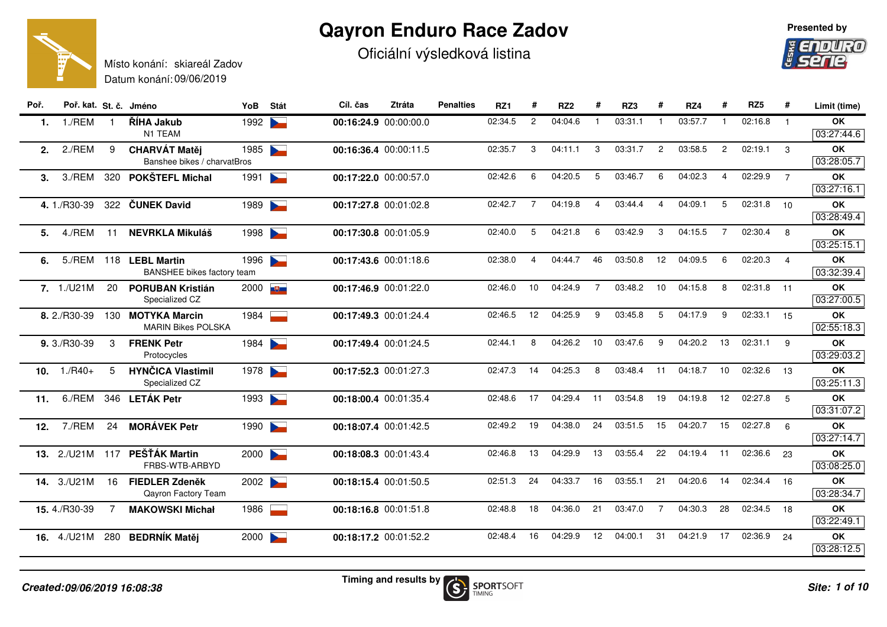## **Qayron Enduro Race Zadov**

Oficiální výsledková listina





Datum konání: 09/06/2019Místo konání: skiareál Zadov

| Poř. | Poř. kat. St. č. Jméno |     |                                                     | YoB             | Stát                              | Cíl. čas              | Ztráta | <b>Penalties</b> | RZ1     | #              | RZ <sub>2</sub> | #              | RZ3     | #              | RZ4     | #              | RZ <sub>5</sub> | #              | Limit (time)            |
|------|------------------------|-----|-----------------------------------------------------|-----------------|-----------------------------------|-----------------------|--------|------------------|---------|----------------|-----------------|----------------|---------|----------------|---------|----------------|-----------------|----------------|-------------------------|
| 1.   | 1./REM                 |     | ŘÍHA Jakub<br>N1 TEAM                               | 1992            |                                   | 00:16:24.9 00:00:00.0 |        |                  | 02:34.5 | $\mathcal{P}$  | 04:04.6         |                | 03:31.1 |                | 03:57.7 |                | 02:16.8         | $\overline{1}$ | <b>OK</b><br>03:27:44.6 |
|      |                        |     |                                                     |                 |                                   |                       |        |                  |         |                |                 |                |         |                |         |                |                 |                |                         |
| 2.   | 2./REM                 | 9   | <b>CHARVÁT Matěj</b><br>Banshee bikes / charvatBros | 1985            |                                   | 00:16:36.4 00:00:11.5 |        |                  | 02:35.7 | 3              | 04:11.1         | 3              | 03:31.7 | $\overline{2}$ | 03:58.5 | $\overline{2}$ | 02:19.1         | $\mathcal{B}$  | OK<br>03:28:05.7        |
| 3.   | 3./REM                 | 320 | <b>POKŠTEFL Michal</b>                              | 1991            | <b>Participants</b>               | 00:17:22.0 00:00:57.0 |        |                  | 02:42.6 | 6              | 04:20.5         | 5              | 03:46.7 | 6              | 04:02.3 | 4              | 02:29.9         | $\overline{7}$ | <b>OK</b>               |
|      |                        |     |                                                     |                 |                                   |                       |        |                  |         |                |                 |                |         |                |         |                |                 |                | 03:27:16.1              |
|      | 4.1./R30-39            | 322 | <b>ČUNEK David</b>                                  | 1989            | <b>Contract Contract Contract</b> | 00:17:27.8 00:01:02.8 |        |                  | 02:42.7 | $\overline{7}$ | 04:19.8         | 4              | 03:44.4 | 4              | 04:09.1 | 5              | 02:31.8         | 10             | OK                      |
|      |                        |     |                                                     |                 |                                   |                       |        |                  |         |                |                 |                |         |                |         |                |                 |                | 03:28:49.4              |
| 5.   | 4./REM                 | 11  | <b>NEVRKLA Mikuláš</b>                              | 1998            |                                   | 00:17:30.8 00:01:05.9 |        |                  | 02:40.0 | 5              | 04:21.8         | 6              | 03:42.9 | 3              | 04:15.5 | $\overline{7}$ | 02:30.4         | 8              | OK                      |
|      |                        |     |                                                     |                 |                                   |                       |        |                  |         |                |                 |                |         |                |         |                |                 |                | 03:25:15.1              |
| 6.   | 5./REM                 | 118 | <b>LEBL Martin</b>                                  | 1996            |                                   | 00:17:43.6 00:01:18.6 |        |                  | 02:38.0 | 4              | 04:44.7         | 46             | 03:50.8 | 12             | 04:09.5 | 6              | 02:20.3         | $\overline{4}$ | OK                      |
|      |                        |     | <b>BANSHEE bikes factory team</b>                   |                 |                                   |                       |        |                  |         |                |                 |                |         |                |         |                |                 |                | 03:32:39.4              |
|      | 7. 1./U21M             | 20  | <b>PORUBAN Kristián</b>                             | 2000 $\sqrt{2}$ |                                   | 00:17:46.9 00:01:22.0 |        |                  | 02:46.0 | 10             | 04:24.9         | $\overline{7}$ | 03:48.2 | 10             | 04:15.8 | 8              | 02:31.8 11      |                | OK                      |
|      |                        |     | Specialized CZ                                      |                 |                                   |                       |        |                  |         |                |                 |                |         |                |         |                |                 |                | 03:27:00.5              |
|      | 8.2./R30-39            | 130 | <b>MOTYKA Marcin</b>                                | 1984            |                                   | 00:17:49.3 00:01:24.4 |        |                  | 02:46.5 | 12             | 04:25.9         | 9              | 03:45.8 | 5              | 04:17.9 | 9              | 02:33.1         | 15             | OK                      |
|      |                        |     | <b>MARIN Bikes POLSKA</b>                           |                 |                                   |                       |        |                  |         |                |                 |                |         |                |         |                |                 |                | 02:55:18.3              |
|      | 9.3./R30-39            | 3   | <b>FRENK Petr</b>                                   | 1984            |                                   | 00:17:49.4 00:01:24.5 |        |                  | 02:44.1 | 8              | 04:26.2         | 10             | 03:47.6 | 9              | 04:20.2 | 13             | 02:31.1         | 9              | OK                      |
|      |                        |     | Protocycles                                         |                 |                                   |                       |        |                  |         |                |                 |                |         |                |         |                |                 |                | 03:29:03.2              |
| 10.  | $1./R40+$              | 5   | <b>HYNČICA Vlastimil</b>                            | 1978            |                                   | 00:17:52.3 00:01:27.3 |        |                  | 02:47.3 | 14             | 04:25.3         | 8              | 03:48.4 | 11             | 04:18.7 | 10             | 02:32.6         | 13             | OK                      |
|      |                        |     | Specialized CZ                                      |                 |                                   |                       |        |                  |         |                |                 |                |         |                |         |                |                 |                | 03:25:11.3              |
| 11.  | 6./REM                 | 346 | <b>LETÁK Petr</b>                                   | 1993            | <b>Contract Contract Contract</b> | 00:18:00.4 00:01:35.4 |        |                  | 02:48.6 | 17             | 04:29.4         | 11             | 03:54.8 | 19             | 04:19.8 | 12             | 02:27.8         | - 5            | OK                      |
|      |                        |     |                                                     |                 |                                   |                       |        |                  |         |                |                 |                |         |                |         |                |                 |                | 03:31:07.2              |
| 12.  | 7./REM                 | 24  | <b>MORÁVEK Petr</b>                                 | 1990            |                                   | 00:18:07.4 00:01:42.5 |        |                  | 02:49.2 | 19             | 04:38.0         | 24             | 03:51.5 | 15             | 04:20.7 | 15             | 02:27.8         | - 6            | <b>OK</b>               |
|      |                        |     |                                                     |                 |                                   |                       |        |                  |         |                |                 |                |         |                |         |                |                 |                | 03:27:14.7              |
|      | 13. 2./U21M            | 117 | PEŠŤÁK Martin                                       | 2000            |                                   | 00:18:08.3 00:01:43.4 |        |                  | 02:46.8 | 13             | 04:29.9         | 13             | 03:55.4 | 22             | 04:19.4 | 11             | 02:36.6         | 23             | OK                      |
|      |                        |     | FRBS-WTB-ARBYD                                      |                 |                                   |                       |        |                  |         |                |                 |                |         |                |         |                |                 |                | 03:08:25.0              |
|      | 14. 3./U21M            | 16  | FIEDLER Zdeněk                                      | 2002            |                                   | 00:18:15.4 00:01:50.5 |        |                  | 02:51.3 | 24             | 04:33.7         | 16             | 03:55.1 | 21             | 04:20.6 | 14             | 02:34.4         | 16             | <b>OK</b>               |
|      |                        |     | Qayron Factory Team                                 |                 |                                   |                       |        |                  |         |                |                 |                |         |                |         |                |                 |                | 03:28:34.7              |
|      | 15.4./R30-39           | 7   | <b>MAKOWSKI Michał</b>                              | 1986            |                                   | 00:18:16.8 00:01:51.8 |        |                  | 02:48.8 | 18             | 04:36.0         | 21             | 03:47.0 | $\overline{7}$ | 04:30.3 | 28             | 02:34.5         | 18             | OK                      |
|      |                        |     |                                                     |                 |                                   |                       |        |                  |         |                |                 |                |         |                |         |                |                 |                | 03:22:49.1              |
|      | 16. 4./U21M            | 280 | <b>BEDRNÍK Matěj</b>                                | 2000            |                                   | 00:18:17.2 00:01:52.2 |        |                  | 02:48.4 | 16             | 04:29.9         | 12             | 04:00.1 | 31             | 04:21.9 | 17             | 02:36.9         | 24             | OK                      |
|      |                        |     |                                                     |                 |                                   |                       |        |                  |         |                |                 |                |         |                |         |                |                 |                | 03:28:12.5              |
|      |                        |     |                                                     |                 |                                   |                       |        |                  |         |                |                 |                |         |                |         |                |                 |                |                         |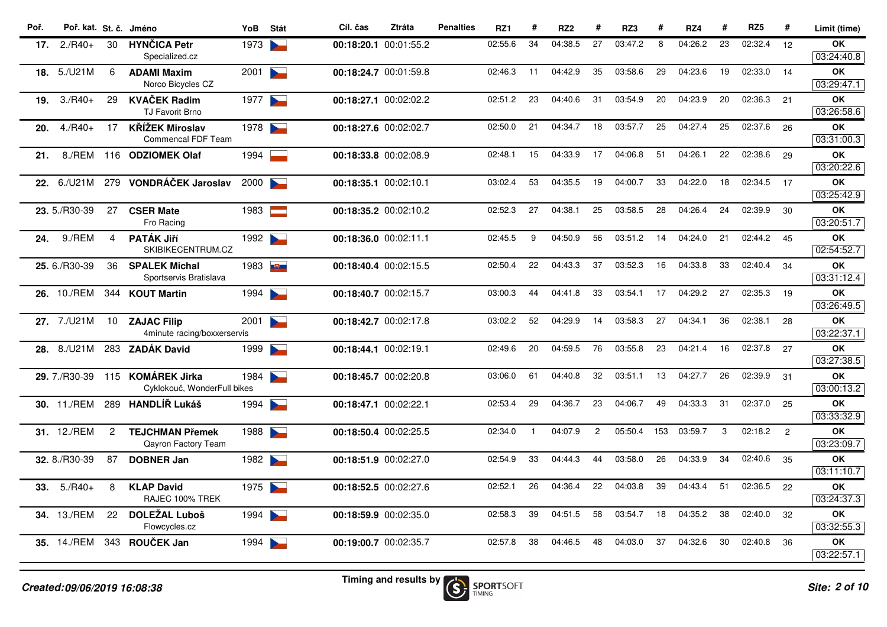| Poř. | Poř. kat. St. č. Jméno |                 |                                                     | YoB  | Stát                              | Cíl. čas              | Ztráta | <b>Penalties</b> | RZ1     | #  | RZ <sub>2</sub> | #  | RZ3     | #   | RZ4     | #  | RZ <sub>5</sub> | #              | Limit (time)            |
|------|------------------------|-----------------|-----------------------------------------------------|------|-----------------------------------|-----------------------|--------|------------------|---------|----|-----------------|----|---------|-----|---------|----|-----------------|----------------|-------------------------|
| 17.  | $2./R40+$              | 30              | <b>HYNCICA Petr</b><br>Specialized.cz               | 1973 |                                   | 00:18:20.1 00:01:55.2 |        |                  | 02:55.6 | 34 | 04:38.5         | 27 | 03:47.2 | 8   | 04:26.2 | 23 | 02:32.4         | 12             | <b>OK</b><br>03:24:40.8 |
|      | 18. 5./U21M            | 6               | <b>ADAMI Maxim</b>                                  | 2001 | $\overline{\phantom{0}}$          | 00:18:24.7 00:01:59.8 |        |                  | 02:46.3 | 11 | 04:42.9         | 35 | 03:58.6 | 29  | 04:23.6 | 19 | 02:33.0         | 14             | <b>OK</b>               |
|      |                        |                 | Norco Bicycles CZ                                   |      |                                   |                       |        |                  |         |    |                 |    |         |     |         |    |                 |                | 03:29:47.1              |
| 19.  | $3./R40+$              | 29              | <b>KVAČEK Radim</b><br><b>TJ Favorit Brno</b>       | 1977 |                                   | 00:18:27.1 00:02:02.2 |        |                  | 02:51.2 | 23 | 04:40.6         | 31 | 03:54.9 | 20  | 04:23.9 | 20 | 02:36.3         | 21             | <b>OK</b><br>03:26:58.6 |
| 20.  | $4./R40+$              | 17              | <b>KŘÍŽEK Miroslav</b><br><b>Commencal FDF Team</b> | 1978 |                                   | 00:18:27.6 00:02:02.7 |        |                  | 02:50.0 | 21 | 04:34.7         | 18 | 03:57.7 | 25  | 04:27.4 | 25 | 02:37.6         | 26             | OK<br>03:31:00.3        |
| 21.  | 8./REM                 |                 | 116 ODZIOMEK Olaf                                   | 1994 |                                   | 00:18:33.8 00:02:08.9 |        |                  | 02:48.1 | 15 | 04:33.9         | 17 | 04:06.8 | 51  | 04:26.1 | 22 | 02:38.6         | 29             | OK<br>03:20:22.6        |
|      | 22. 6./U21M            | 279             | VONDRÁČEK Jaroslav                                  | 2000 | $\sim$                            | 00:18:35.1 00:02:10.1 |        |                  | 03:02.4 | 53 | 04:35.5         | 19 | 04:00.7 | 33  | 04:22.0 | 18 | 02:34.5         | 17             | OK<br>03:25:42.9        |
|      | 23. 5./R30-39          | 27              | <b>CSER Mate</b><br>Fro Racing                      | 1983 |                                   | 00:18:35.2 00:02:10.2 |        |                  | 02:52.3 | 27 | 04:38.1         | 25 | 03:58.5 | 28  | 04:26.4 | 24 | 02:39.9         | 30             | <b>OK</b><br>03:20:51.7 |
| 24.  | 9./REM                 | 4               | PATÁK Jiří<br>SKIBIKECENTRUM.CZ                     | 1992 |                                   | 00:18:36.0 00:02:11.1 |        |                  | 02:45.5 | 9  | 04:50.9         | 56 | 03:51.2 | 14  | 04:24.0 | 21 | 02:44.2         | 45             | <b>OK</b><br>02:54:52.7 |
|      | 25. 6./R30-39          | 36              | <b>SPALEK Michal</b><br>Sportservis Bratislava      | 1983 | 少一                                | 00:18:40.4 00:02:15.5 |        |                  | 02:50.4 | 22 | 04:43.3         | 37 | 03:52.3 | 16  | 04:33.8 | 33 | 02:40.4         | 34             | <b>OK</b><br>03:31:12.4 |
|      | 26. 10./REM            |                 | 344 KOUT Martin                                     | 1994 |                                   | 00:18:40.7 00:02:15.7 |        |                  | 03:00.3 | 44 | 04:41.8         | 33 | 03:54.1 | 17  | 04:29.2 | 27 | 02:35.3         | 19             | OK<br>03:26:49.5        |
|      | 27. 7./U21M            | 10 <sup>°</sup> | <b>ZAJAC Filip</b><br>4minute racing/boxxerservis   | 2001 | $\overline{\phantom{0}}$          | 00:18:42.7 00:02:17.8 |        |                  | 03:02.2 | 52 | 04:29.9         | 14 | 03:58.3 | 27  | 04:34.1 | 36 | 02:38.1         | 28             | OK<br>03:22:37.1        |
|      | 28. 8./U21M            |                 | 283 ZADÁK David                                     | 1999 |                                   | 00:18:44.1 00:02:19.1 |        |                  | 02:49.6 | 20 | 04:59.5         | 76 | 03:55.8 | 23  | 04:21.4 | 16 | 02:37.8         | 27             | <b>OK</b><br>03:27:38.5 |
|      | 29.7./R30-39           | 115             | <b>KOMÁREK Jirka</b><br>Cyklokouč, WonderFull bikes | 1984 | $\blacktriangleright$             | 00:18:45.7 00:02:20.8 |        |                  | 03:06.0 | 61 | 04:40.8         | 32 | 03:51.1 | 13  | 04:27.7 | 26 | 02:39.9         | 31             | OK<br>03:00:13.2        |
|      | 30. 11./REM            | 289             | <b>HANDLÍŘ Lukáš</b>                                | 1994 | <b>Contract Contract</b>          | 00:18:47.1 00:02:22.1 |        |                  | 02:53.4 | 29 | 04:36.7         | 23 | 04:06.7 | 49  | 04:33.3 | 31 | 02:37.0         | 25             | OK<br>03:33:32.9        |
|      | <b>31.</b> 12./REM     | $\overline{2}$  | <b>TEJCHMAN Přemek</b><br>Qayron Factory Team       | 1988 |                                   | 00:18:50.4 00:02:25.5 |        |                  | 02:34.0 | -1 | 04:07.9         | 2  | 05:50.4 | 153 | 03:59.7 | 3  | 02:18.2         | $\overline{2}$ | OK<br>03:23:09.7        |
|      | 32. 8./R30-39          | 87              | <b>DOBNER Jan</b>                                   | 1982 |                                   | 00:18:51.9 00:02:27.0 |        |                  | 02:54.9 | 33 | 04:44.3         | 44 | 03:58.0 | 26  | 04:33.9 | 34 | 02:40.6         | 35             | OK<br>03:11:10.7        |
| 33.  | $5./R40+$              | 8               | <b>KLAP David</b><br>RAJEC 100% TREK                | 1975 | <b>Contract Contract Contract</b> | 00:18:52.5 00:02:27.6 |        |                  | 02:52.1 | 26 | 04:36.4         | 22 | 04:03.8 | 39  | 04:43.4 | 51 | 02:36.5         | 22             | OK<br>03:24:37.3        |
|      | 34. 13./REM            | 22              | <b>DOLEŽAL Luboš</b><br>Flowcycles.cz               | 1994 | <b>Participation</b>              | 00:18:59.9 00:02:35.0 |        |                  | 02:58.3 | 39 | 04:51.5         | 58 | 03:54.7 | 18  | 04:35.2 | 38 | 02:40.0         | 32             | OK<br>03:32:55.3        |
|      | 35. 14./REM            | 343             | ROUČEK Jan                                          | 1994 | $\blacktriangleright$             | 00:19:00.7 00:02:35.7 |        |                  | 02:57.8 | 38 | 04:46.5         | 48 | 04:03.0 | 37  | 04:32.6 | 30 | 02:40.8         | 36             | OK<br>03:22:57.1        |
|      |                        |                 |                                                     |      |                                   |                       |        |                  |         |    |                 |    |         |     |         |    |                 |                |                         |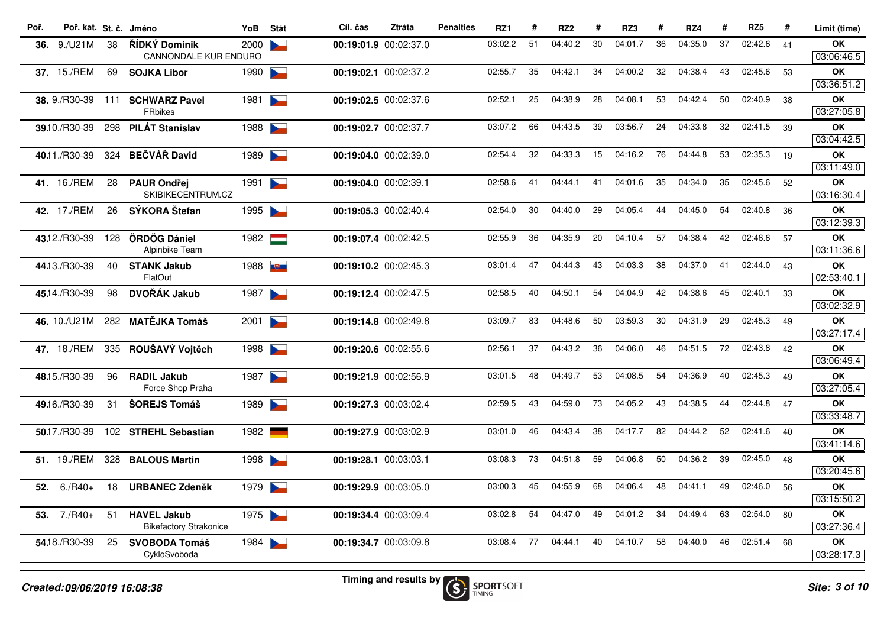| Poř.                        | Poř. kat. St. č. Jméno |     |                                                     | YoB  | Stát                              | Cíl. čas              | <b>Ztráta</b>         | <b>Penalties</b> | RZ1              | #  | RZ <sub>2</sub> |    | RZ3     |    | RZ4     |    | RZ <sub>5</sub> | #  | Limit (time)            |
|-----------------------------|------------------------|-----|-----------------------------------------------------|------|-----------------------------------|-----------------------|-----------------------|------------------|------------------|----|-----------------|----|---------|----|---------|----|-----------------|----|-------------------------|
| 36.                         | 9./U21M                | 38  | ŘÍDKÝ Dominik<br><b>CANNONDALE KUR ENDURO</b>       | 2000 |                                   | 00:19:01.9 00:02:37.0 |                       |                  | 03:02.2          | 51 | 04:40.2         | 30 | 04:01.7 | 36 | 04:35.0 | 37 | 02:42.6         | 41 | OK<br>03:06:46.5        |
| <b>37.</b> 15./REM          |                        | 69  | <b>SOJKA Libor</b>                                  | 1990 | $\sim$                            | 00:19:02.1 00:02:37.2 |                       |                  | 02:55.7          | 35 | 04:42.1         | 34 | 04:00.2 | 32 | 04:38.4 | 43 | 02:45.6         | 53 | OK<br>03:36:51.2        |
| 38. 9./R30-39               |                        | 111 | <b>SCHWARZ Pavel</b><br><b>FRbikes</b>              | 1981 | $\sim$                            | 00:19:02.5 00:02:37.6 |                       |                  | 02:52.1          | 25 | 04:38.9         | 28 | 04:08.1 | 53 | 04:42.4 | 50 | 02:40.9         | 38 | OK<br>03:27:05.8        |
| 39.10./R30-39               |                        | 298 | <b>PILÁT Stanislav</b>                              | 1988 | $\blacktriangleright$             | 00:19:02.7 00:02:37.7 |                       |                  | 03:07.2          | 66 | 04:43.5         | 39 | 03:56.7 | 24 | 04:33.8 | 32 | 02:41.5         | 39 | OK<br>03:04:42.5        |
| 40.11./R30-39               |                        |     | 324 BEČVÁŘ David                                    | 1989 | <b>Contract Contract Contract</b> | 00:19:04.0 00:02:39.0 |                       |                  | 02:54.4          | 32 | 04:33.3         | 15 | 04:16.2 | 76 | 04:44.8 | 53 | 02:35.3         | 19 | OK<br>03:11:49.0        |
| 41. 16./REM                 |                        | 28  | <b>PAUR Ondřej</b><br>SKIBIKECENTRUM.CZ             | 1991 | $\blacktriangleright$             | 00:19:04.0 00:02:39.1 |                       |                  | 02:58.6          | 41 | 04:44.1         | 41 | 04:01.6 | 35 | 04:34.0 | 35 | 02:45.6         | 52 | OK<br>03:16:30.4        |
| 42.                         | 17./REM                | 26  | SÝKORA Štefan                                       | 1995 | $\sim$                            | 00:19:05.3 00:02:40.4 |                       |                  | 02:54.0          | 30 | 04:40.0         | 29 | 04:05.4 | 44 | 04:45.0 | 54 | 02:40.8         | 36 | OK<br>03:12:39.3        |
| 43.12./R30-39               |                        | 128 | ÖRDÖG Dániel<br>Alpinbike Team                      | 1982 |                                   | 00:19:07.4 00:02:42.5 |                       |                  | 02:55.9          | 36 | 04:35.9         | 20 | 04:10.4 | 57 | 04:38.4 | 42 | 02:46.6         | 57 | OK<br>03:11:36.6        |
| 44.13./R30-39               |                        | 40  | <b>STANK Jakub</b><br>FlatOut                       | 1988 | 思                                 | 00:19:10.2 00:02:45.3 |                       |                  | 03:01.4          | 47 | 04:44.3         | 43 | 04:03.3 | 38 | 04:37.0 | 41 | 02:44.0         | 43 | OK<br>02:53:40.1        |
| 45.14./R30-39               |                        | 98  | DVOŘÁK Jakub                                        | 1987 | $\blacktriangleright$             | 00:19:12.4 00:02:47.5 |                       |                  | 02:58.5          | 40 | 04:50.1         | 54 | 04:04.9 | 42 | 04:38.6 | 45 | 02:40.1         | 33 | OK<br>03:02:32.9        |
| 46. 10./U21M                |                        | 282 | <b>MATĚJKA Tomáš</b>                                | 2001 | <b>Participation</b>              | 00:19:14.8 00:02:49.8 |                       |                  | 03:09.7          | 83 | 04:48.6         | 50 | 03:59.3 | 30 | 04:31.9 | 29 | 02:45.3         | 49 | <b>OK</b><br>03:27:17.4 |
| 47. 18./REM                 |                        | 335 | ROUŠAVÝ Vojtěch                                     | 1998 |                                   | 00:19:20.6 00:02:55.6 |                       |                  | 02:56.1          | 37 | 04:43.2         | 36 | 04:06.0 | 46 | 04:51.5 | 72 | 02:43.8         | 42 | OK<br>03:06:49.4        |
| 48.15./R30-39               |                        | 96  | <b>RADIL Jakub</b><br>Force Shop Praha              | 1987 | <b>Contract Contract Contract</b> | 00:19:21.9 00:02:56.9 |                       |                  | 03:01.5          | 48 | 04:49.7         | 53 | 04:08.5 | 54 | 04:36.9 | 40 | 02:45.3         | 49 | OK<br>03:27:05.4        |
| 49.16./R30-39               |                        | 31  | <b>SOREJS Tomáš</b>                                 | 1989 | $\blacktriangleright$             | 00:19:27.3 00:03:02.4 |                       |                  | 02:59.5          | 43 | 04:59.0         | 73 | 04:05.2 | 43 | 04:38.5 | 44 | 02:44.8         | 47 | OK<br>03:33:48.7        |
| 50.17./R30-39               |                        |     | 102 STREHL Sebastian                                | 1982 |                                   | 00:19:27.9 00:03:02.9 |                       |                  | 03:01.0          | 46 | 04:43.4         | 38 | 04:17.7 | 82 | 04:44.2 | 52 | 02:41.6         | 40 | <b>OK</b><br>03:41:14.6 |
| <b>51.</b> 19./REM          |                        | 328 | <b>BALOUS Martin</b>                                | 1998 | <b>Contract Contract</b>          | 00:19:28.1 00:03:03.1 |                       |                  | 03:08.3          | 73 | 04:51.8         | 59 | 04:06.8 | 50 | 04:36.2 | 39 | 02:45.0         | 48 | OK<br>03:20:45.6        |
| 52.                         | $6./R40+$              | 18  | <b>URBANEC Zdeněk</b>                               | 1979 | $\sim$                            | 00:19:29.9 00:03:05.0 |                       |                  | 03:00.3          | 45 | 04:55.9         | 68 | 04:06.4 | 48 | 04:41.1 | 49 | 02:46.0         | 56 | OK<br>03:15:50.2        |
| 53. $7./R40+$               |                        | 51  | <b>HAVEL Jakub</b><br><b>Bikefactory Strakonice</b> | 1975 | <b>State</b>                      | 00:19:34.4 00:03:09.4 |                       |                  | 03:02.8          | 54 | 04:47.0         | 49 | 04:01.2 | 34 | 04:49.4 | 63 | 02:54.0         | 80 | OK<br>03:27:36.4        |
| 54.18./R30-39               |                        | 25  | <b>SVOBODA Tomáš</b><br>CykloSvoboda                | 1984 |                                   | 00:19:34.7 00:03:09.8 |                       |                  | 03:08.4          | 77 | 04:44.1         | 40 | 04:10.7 | 58 | 04:40.0 | 46 | 02:51.4         | 68 | OK<br>03:28:17.3        |
| Created:09/06/2019 16:08:38 |                        |     |                                                     |      |                                   |                       | Timing and results by | $\mathbf{G}$     | <b>SPORTSOFT</b> |    |                 |    |         |    |         |    |                 |    | <b>Site: 3 of 10</b>    |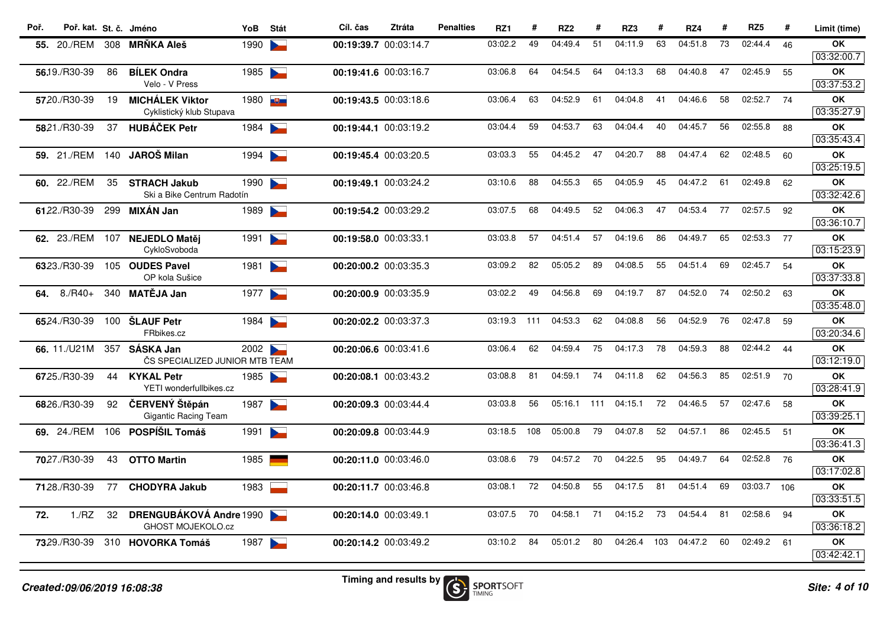| Poř. | Poř. kat. St. č. Jméno |     |                                                    | YoB  | Stát                                       | Cíl. čas              | Ztráta | <b>Penalties</b> | RZ1     | #   | RZ <sub>2</sub> | #  | RZ3     | #   | RZ4     | #  | RZ <sub>5</sub> | #    | Limit (time)            |
|------|------------------------|-----|----------------------------------------------------|------|--------------------------------------------|-----------------------|--------|------------------|---------|-----|-----------------|----|---------|-----|---------|----|-----------------|------|-------------------------|
| 55.  | 20./REM                |     | 308 MRŇKA Aleš                                     | 1990 |                                            | 00:19:39.7 00:03:14.7 |        |                  | 03:02.2 | 49  | 04:49.4         | 51 | 04:11.9 | 63  | 04:51.8 | 73 | 02:44.4         | 46   | OK                      |
|      |                        |     |                                                    |      |                                            |                       |        |                  |         |     |                 |    |         |     |         |    |                 |      | 03:32:00.7              |
|      | 56.19./R30-39          | 86  | <b>BÍLEK Ondra</b>                                 | 1985 |                                            | 00:19:41.6 00:03:16.7 |        |                  | 03:06.8 | 64  | 04:54.5         | 64 | 04:13.3 | 68  | 04:40.8 | 47 | 02:45.9         | 55   | <b>OK</b>               |
|      |                        |     | Velo - V Press                                     |      |                                            |                       |        |                  |         |     |                 |    |         |     |         |    |                 |      | 03:37:53.2              |
|      | 5720./R30-39           | 19  | <b>MICHÁLEK Viktor</b><br>Cyklistický klub Stupava | 1980 |                                            | 00:19:43.5 00:03:18.6 |        |                  | 03:06.4 | 63  | 04:52.9         | 61 | 04:04.8 | 41  | 04:46.6 | 58 | 02:52.7         | 74   | OK<br>03:35:27.9        |
|      | 5821./R30-39           | 37  | <b>HUBÁČEK Petr</b>                                | 1984 | $\overline{\phantom{0}}$                   | 00:19:44.1 00:03:19.2 |        |                  | 03:04.4 | 59  | 04:53.7         | 63 | 04:04.4 | 40  | 04:45.7 | 56 | 02:55.8         | 88   | OK<br>03:35:43.4        |
|      |                        |     | 140 JAROŠ Milan                                    |      |                                            |                       |        |                  | 03:03.3 | 55  | 04:45.2         | 47 | 04:20.7 | 88  | 04:47.4 | 62 | 02:48.5         |      |                         |
|      | <b>59.</b> 21./REM     |     |                                                    | 1994 | <b>Barnett Street</b>                      | 00:19:45.4 00:03:20.5 |        |                  |         |     |                 |    |         |     |         |    |                 | 60   | <b>OK</b><br>03:25:19.5 |
|      | 60. 22./REM            | 35  | <b>STRACH Jakub</b>                                | 1990 |                                            | 00:19:49.1 00:03:24.2 |        |                  | 03:10.6 | 88  | 04:55.3         | 65 | 04:05.9 | 45  | 04:47.2 | 61 | 02:49.8         | 62   | OK                      |
|      |                        |     | Ski a Bike Centrum Radotín                         |      |                                            |                       |        |                  |         |     |                 |    |         |     |         |    |                 |      | 03:32:42.6              |
|      | 6122./R30-39           |     | 299 MIXÁN Jan                                      | 1989 |                                            | 00:19:54.2 00:03:29.2 |        |                  | 03:07.5 | 68  | 04:49.5         | 52 | 04:06.3 | 47  | 04:53.4 | 77 | 02:57.5         | 92   | <b>OK</b>               |
|      |                        |     |                                                    |      |                                            |                       |        |                  |         |     |                 |    |         |     |         |    |                 |      | 03:36:10.7              |
|      | 62. 23./REM            | 107 | <b>NEJEDLO Matěj</b>                               | 1991 | <b>Contract Contract Contract Contract</b> | 00:19:58.0 00:03:33.1 |        |                  | 03:03.8 | 57  | 04:51.4         | 57 | 04:19.6 | 86  | 04:49.7 | 65 | 02:53.3         | 77   | OK                      |
|      |                        |     | CykloSvoboda                                       |      |                                            |                       |        |                  |         |     |                 |    |         |     |         |    |                 |      | 03:15:23.9              |
|      | 6323./R30-39           |     | 105 OUDES Pavel<br>OP kola Sušice                  | 1981 |                                            | 00:20:00.2 00:03:35.3 |        |                  | 03:09.2 | 82  | 05:05.2         | 89 | 04:08.5 | 55  | 04:51.4 | 69 | 02:45.7         | - 54 | <b>OK</b><br>03:37:33.8 |
| 64.  | $8./R40+$              |     | 340 MATĚJA Jan                                     | 1977 |                                            | 00:20:00.9 00:03:35.9 |        |                  | 03:02.2 | 49  | 04:56.8         | 69 | 04:19.7 | 87  | 04:52.0 | 74 | 02:50.2         | 63   | OK                      |
|      |                        |     |                                                    |      |                                            |                       |        |                  |         |     |                 |    |         |     |         |    |                 |      | 03:35:48.0              |
|      | 6524./R30-39           |     | 100 ŠLAUF Petr                                     | 1984 | $\sum$                                     | 00:20:02.2 00:03:37.3 |        |                  | 03:19.3 | 111 | 04:53.3         | 62 | 04:08.8 | 56  | 04:52.9 | 76 | 02:47.8         | 59   | <b>OK</b>               |
|      |                        |     | FRbikes.cz                                         |      |                                            |                       |        |                  |         |     |                 |    |         |     |         |    |                 |      | 03:20:34.6              |
|      | 66. 11./U21M           |     | 357 SÁSKA Jan                                      | 2002 |                                            | 00:20:06.6 00:03:41.6 |        |                  | 03:06.4 | 62  | 04:59.4         | 75 | 04:17.3 | 78  | 04:59.3 | 88 | 02:44.2         | 44   | OK                      |
|      |                        |     | ČS SPECIALIZED JUNIOR MTB TEAM                     |      |                                            |                       |        |                  |         |     |                 |    |         |     |         |    |                 |      | 03:12:19.0              |
|      | 6725./R30-39           | 44  | <b>KYKAL Petr</b><br>YETI wonderfullbikes.cz       | 1985 |                                            | 00:20:08.1 00:03:43.2 |        |                  | 03:08.8 | 81  | 04:59.1         | 74 | 04:11.8 | 62  | 04:56.3 | 85 | 02:51.9         | 70   | OK<br>03:28:41.9        |
|      | 6826./R30-39           | 92  | ČERVENÝ Štěpán                                     | 1987 |                                            | 00:20:09.3 00:03:44.4 |        |                  | 03:03.8 | 56  | 05:16.1 111     |    | 04:15.1 | 72  | 04:46.5 | 57 | 02:47.6         | 58   | <b>OK</b>               |
|      |                        |     | Gigantic Racing Team                               |      |                                            |                       |        |                  |         |     |                 |    |         |     |         |    |                 |      | 03:39:25.1              |
|      | 69. 24./REM            |     | 106 POSPÍŠIL Tomáš                                 | 1991 |                                            | 00:20:09.8 00:03:44.9 |        |                  | 03:18.5 | 108 | 05:00.8         | 79 | 04:07.8 | 52  | 04:57.1 | 86 | 02:45.5         | 51   | OK                      |
|      |                        |     |                                                    |      |                                            |                       |        |                  |         |     |                 |    |         |     |         |    |                 |      | 03:36:41.3              |
|      | 7027./R30-39           | 43  | <b>OTTO Martin</b>                                 | 1985 |                                            | 00:20:11.0 00:03:46.0 |        |                  | 03:08.6 | 79  | 04:57.2         | 70 | 04:22.5 | 95  | 04:49.7 | 64 | 02:52.8         | 76   | <b>OK</b><br>03:17:02.8 |
|      | 7128./R30-39           | 77  | <b>CHODYRA Jakub</b>                               | 1983 |                                            | 00:20:11.7 00:03:46.8 |        |                  | 03:08.1 | 72  | 04:50.8         | 55 | 04:17.5 | 81  | 04:51.4 | 69 | 03:03.7 106     |      | <b>OK</b>               |
|      |                        |     |                                                    |      |                                            |                       |        |                  |         |     |                 |    |         |     |         |    |                 |      | 03:33:51.5              |
| 72.  | 1./RZ                  | 32  | <b>DRENGUBÁKOVÁ Andre 1990</b>                     |      |                                            | 00:20:14.0 00:03:49.1 |        |                  | 03:07.5 | 70  | 04:58.1         | 71 | 04:15.2 | 73  | 04:54.4 | 81 | 02:58.6         | 94   | OK                      |
|      |                        |     | GHOST MOJEKOLO.cz                                  |      |                                            |                       |        |                  |         |     |                 |    |         |     |         |    |                 |      | 03:36:18.2              |
|      | <b>73</b> 29./R30-39   |     | 310 HOVORKA Tomáš                                  | 1987 | <b>Communication</b>                       | 00:20:14.2 00:03:49.2 |        |                  | 03:10.2 | 84  | 05:01.2         | 80 | 04:26.4 | 103 | 04:47.2 | 60 | 02:49.2         | 61   | OK                      |
|      |                        |     |                                                    |      |                                            |                       |        |                  |         |     |                 |    |         |     |         |    |                 |      | 03:42:42.1              |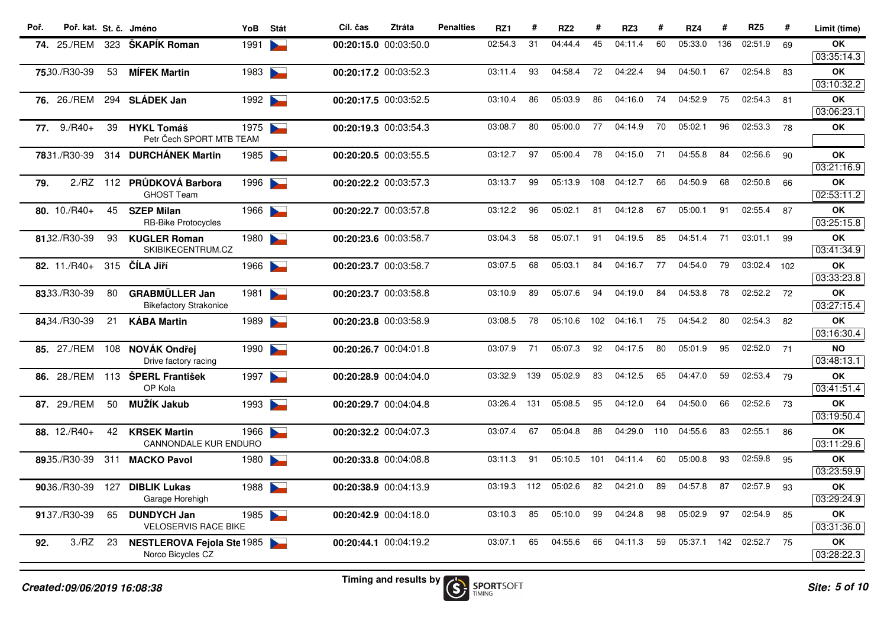| Poř. | Poř. kat. St. č. Jméno |     |                                                        | YoB  | Stát                                       | Cíl. čas              | Ztráta | <b>Penalties</b> | RZ1     | #   | RZ <sub>2</sub> | #   | RZ3     | #   | RZ4     | #   | RZ <sub>5</sub> | #  | Limit (time)            |
|------|------------------------|-----|--------------------------------------------------------|------|--------------------------------------------|-----------------------|--------|------------------|---------|-----|-----------------|-----|---------|-----|---------|-----|-----------------|----|-------------------------|
| 74.  | 25./REM                |     | 323 ŠKAPÍK Roman                                       | 1991 |                                            | 00:20:15.0 00:03:50.0 |        |                  | 02:54.3 | 31  | 04:44.4         | 45  | 04:11.4 | 60  | 05:33.0 | 136 | 02:51.9         | 69 | OK                      |
|      |                        |     |                                                        |      |                                            |                       |        |                  |         |     |                 |     |         |     |         |     |                 |    | 03:35:14.3              |
|      | 7530./R30-39           | 53  | <b>MÍFEK Martin</b>                                    | 1983 |                                            | 00:20:17.2 00:03:52.3 |        |                  | 03:11.4 | 93  | 04:58.4         | 72  | 04:22.4 | 94  | 04:50.1 | 67  | 02:54.8         | 83 | <b>OK</b>               |
|      |                        |     |                                                        |      |                                            |                       |        |                  |         |     |                 |     |         |     |         |     |                 |    | 03:10:32.2              |
| 76.  | 26./REM                | 294 | <b>SLÁDEK Jan</b>                                      | 1992 |                                            | 00:20:17.5 00:03:52.5 |        |                  | 03:10.4 | 86  | 05:03.9         | 86  | 04:16.0 | 74  | 04:52.9 | 75  | 02:54.3         | 81 | OK<br>03:06:23.1        |
| 77.  | $9./R40+$              | 39  | <b>HYKL Tomáš</b><br>Petr Čech SPORT MTB TEAM          | 1975 |                                            | 00:20:19.3 00:03:54.3 |        |                  | 03:08.7 | 80  | 05:00.0         | 77  | 04:14.9 | 70  | 05:02.1 | 96  | 02:53.3         | 78 | <b>OK</b>               |
|      | 78.31./R30-39          | 314 | <b>DURCHÁNEK Martin</b>                                | 1985 |                                            | 00:20:20.5 00:03:55.5 |        |                  | 03:12.7 | 97  | 05:00.4         | 78  | 04:15.0 | 71  | 04:55.8 | 84  | 02:56.6         | 90 | <b>OK</b><br>03:21:16.9 |
| 79.  | 2/ RZ                  |     | 112 PRŮDKOVÁ Barbora<br><b>GHOST Team</b>              | 1996 |                                            | 00:20:22.2 00:03:57.3 |        |                  | 03:13.7 | 99  | 05:13.9         | 108 | 04:12.7 | 66  | 04:50.9 | 68  | 02:50.8         | 66 | <b>OK</b><br>02:53:11.2 |
|      | 80. $10./R40+$         | 45  | <b>SZEP Milan</b><br><b>RB-Bike Protocycles</b>        | 1966 |                                            | 00:20:22.7 00:03:57.8 |        |                  | 03:12.2 | 96  | 05:02.1         | 81  | 04:12.8 | 67  | 05:00.1 | 91  | 02:55.4         | 87 | OK<br>03:25:15.8        |
|      | 8132./R30-39           | 93  | <b>KUGLER Roman</b><br>SKIBIKECENTRUM.CZ               | 1980 |                                            | 00:20:23.6 00:03:58.7 |        |                  | 03:04.3 | 58  | 05:07.1         | 91  | 04:19.5 | 85  | 04:51.4 | 71  | 03:01.1         | 99 | OK<br>03:41:34.9        |
|      | 82. $11./R40+$         |     | 315 ČÍLA Jiří                                          | 1966 |                                            | 00:20:23.7 00:03:58.7 |        |                  | 03:07.5 | 68  | 05:03.1         | 84  | 04:16.7 | 77  | 04:54.0 | 79  | 03:02.4 102     |    | <b>OK</b><br>03:33:23.8 |
|      | 8333./R30-39           | 80  | <b>GRABMÜLLER Jan</b><br><b>Bikefactory Strakonice</b> | 1981 | <b>Contract Contract</b>                   | 00:20:23.7 00:03:58.8 |        |                  | 03:10.9 | 89  | 05:07.6         | 94  | 04:19.0 | 84  | 04:53.8 | 78  | 02:52.2         | 72 | <b>OK</b><br>03:27:15.4 |
|      | 84,34./R30-39          | 21  | <b>KÁBA Martin</b>                                     | 1989 | <b>Contract Contract Contract Contract</b> | 00:20:23.8 00:03:58.9 |        |                  | 03:08.5 | 78  | 05:10.6         | 102 | 04:16.1 | 75  | 04:54.2 | 80  | 02:54.3         | 82 | OK<br>03:16:30.4        |
|      | 85. 27./REM            |     | 108 NOVÁK Ondřej<br>Drive factory racing               | 1990 |                                            | 00:20:26.7 00:04:01.8 |        |                  | 03:07.9 | 71  | 05:07.3         | 92  | 04:17.5 | 80  | 05:01.9 | 95  | 02:52.0         | 71 | <b>NO</b><br>03:48:13.1 |
| 86.  | 28./REM                |     | 113 ŠPERL František<br>OP Kola                         | 1997 |                                            | 00:20:28.9 00:04:04.0 |        |                  | 03:32.9 | 139 | 05:02.9         | 83  | 04:12.5 | 65  | 04:47.0 | 59  | 02:53.4         | 79 | OK<br>03:41:51.4        |
| 87.  | 29./REM                | 50  | <b>MUŽÍK Jakub</b>                                     | 1993 | <b>Contract Contract</b>                   | 00:20:29.7 00:04:04.8 |        |                  | 03:26.4 | 131 | 05:08.5         | 95  | 04:12.0 | 64  | 04:50.0 | 66  | 02:52.6         | 73 | OK<br>03:19:50.4        |
|      | 88. 12./R40+           | 42  | <b>KRSEK Martin</b><br><b>CANNONDALE KUR ENDURO</b>    | 1966 | <b>Contract Contract Contract</b>          | 00:20:32.2 00:04:07.3 |        |                  | 03:07.4 | 67  | 05:04.8         | 88  | 04:29.0 | 110 | 04:55.6 | 83  | 02:55.1         | 86 | OK<br>03:11:29.6        |
|      | 89.35./R30-39          | 311 | <b>MACKO Pavol</b>                                     | 1980 | <b>Contract Contract</b>                   | 00:20:33.8 00:04:08.8 |        |                  | 03:11.3 | 91  | 05:10.5         | 101 | 04:11.4 | 60  | 05:00.8 | 93  | 02:59.8         | 95 | OK<br>03:23:59.9        |
|      | 9036./R30-39           | 127 | <b>DIBLIK Lukas</b><br>Garage Horehigh                 | 1988 |                                            | 00:20:38.9 00:04:13.9 |        |                  | 03:19.3 | 112 | 05:02.6         | 82  | 04:21.0 | 89  | 04:57.8 | 87  | 02:57.9         | 93 | OK<br>03:29:24.9        |
|      | 9137./R30-39           | 65  | <b>DUNDYCH Jan</b><br><b>VELOSERVIS RACE BIKE</b>      | 1985 |                                            | 00:20:42.9 00:04:18.0 |        |                  | 03:10.3 | 85  | 05:10.0         | 99  | 04:24.8 | 98  | 05:02.9 | 97  | 02:54.9         | 85 | <b>OK</b><br>03:31:36.0 |
| 92.  | 3./RZ                  | 23  | <b>NESTLEROVA Fejola Ste 1985</b><br>Norco Bicycles CZ |      |                                            | 00:20:44.1 00:04:19.2 |        |                  | 03:07.1 | 65  | 04:55.6         | 66  | 04:11.3 | 59  | 05:37.1 | 142 | 02:52.7         | 75 | <b>OK</b><br>03:28:22.3 |
|      |                        |     |                                                        |      |                                            |                       |        |                  |         |     |                 |     |         |     |         |     |                 |    |                         |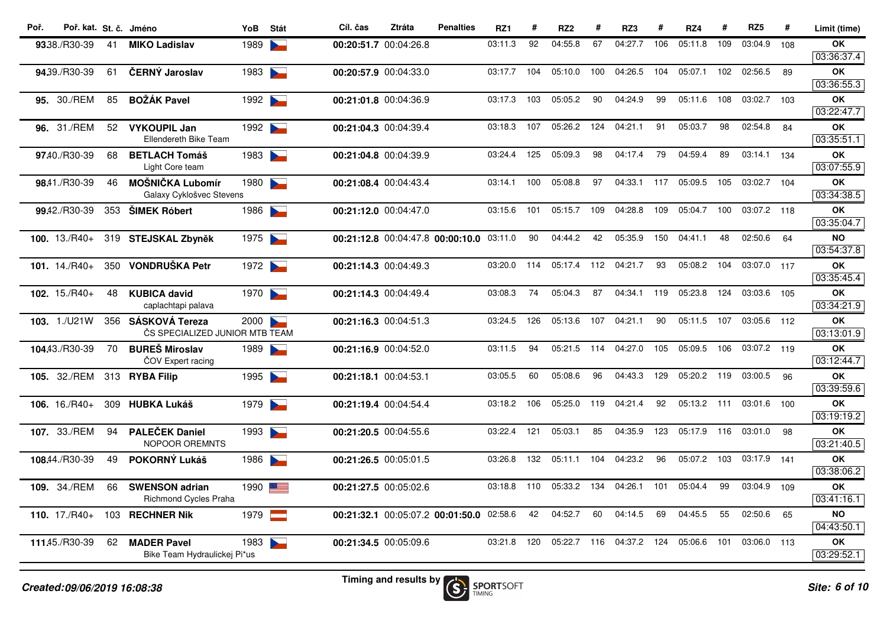| Poř.                        | Poř. kat. St. č. Jméno |     |                                                     | YoB  | Stát                              | Cíl. čas                                 | <b>Ztráta</b>         | <b>Penalties</b> | RZ1              | #   | RZ <sub>2</sub> |     | RZ3     |     | RZ4                 |     | RZ <sub>5</sub> | #   | Limit (time)            |
|-----------------------------|------------------------|-----|-----------------------------------------------------|------|-----------------------------------|------------------------------------------|-----------------------|------------------|------------------|-----|-----------------|-----|---------|-----|---------------------|-----|-----------------|-----|-------------------------|
|                             | 93.38./R30-39          | 41  | <b>MIKO Ladislav</b>                                | 1989 |                                   | 00:20:51.7 00:04:26.8                    |                       |                  | 03:11.3          | 92  | 04:55.8         | 67  | 04:27.7 | 106 | 05:11.8             | 109 | 03:04.9         | 108 | <b>OK</b><br>03:36:37.4 |
|                             | 94.39./R30-39          | 61  | ČERNÝ Jaroslav                                      | 1983 | <b>Participation</b>              | 00:20:57.9 00:04:33.0                    |                       |                  | 03:17.7          | 104 | 05:10.0         | 100 | 04:26.5 | 104 | 05:07.1             | 102 | 02:56.5         | 89  | OK<br>03:36:55.3        |
| 95.                         | 30./REM                | 85  | <b>BOŽÁK Pavel</b>                                  | 1992 | <b>Participation</b>              | 00:21:01.8 00:04:36.9                    |                       |                  | 03:17.3          | 103 | 05:05.2         | 90  | 04:24.9 | 99  | 05:11.6             | 108 | 03:02.7         | 103 | OK<br>03:22:47.7        |
|                             | 96. 31./REM            | 52  | <b>VYKOUPIL Jan</b><br>Ellendereth Bike Team        | 1992 | <b>Contract Contract Contract</b> | 00:21:04.3 00:04:39.4                    |                       |                  | 03:18.3          | 107 | 05:26.2         | 124 | 04:21.1 | 91  | 05:03.7             | 98  | 02:54.8         | 84  | OK<br>03:35:51.1        |
|                             | 97.40./R30-39          | 68  | <b>BETLACH Tomáš</b><br>Light Core team             | 1983 | <b>Contract Contract</b>          | 00:21:04.8 00:04:39.9                    |                       |                  | 03:24.4          | 125 | 05:09.3         | 98  | 04:17.4 | 79  | 04:59.4             | 89  | 03:14.1         | 134 | OK<br>03:07:55.9        |
|                             | 98.41./R30-39          | 46  | <b>MOŠNIČKA Lubomír</b><br>Galaxy Cyklošvec Stevens | 1980 |                                   | 00:21:08.4 00:04:43.4                    |                       |                  | 03:14.1          | 100 | 05:08.8         | 97  | 04:33.1 | 117 | 05:09.5             | 105 | 03:02.7         | 104 | OK<br>03:34:38.5        |
|                             | 99,42./R30-39          | 353 | ŠIMEK Róbert                                        | 1986 |                                   | 00:21:12.0 00:04:47.0                    |                       |                  | 03:15.6          | 101 | 05:15.7         | 109 | 04:28.8 | 109 | 05:04.7             | 100 | 03:07.2         | 118 | OK<br>03:35:04.7        |
|                             | 100. $13./R40+$        | 319 | STEJSKAL Zbyněk                                     | 1975 | <b>Contract Contract Contract</b> | 00:21:12.8 00:04:47.8 00:00:10.0         |                       |                  | 03:11.0          | 90  | 04:44.2         | 42  | 05:35.9 | 150 | 04:41.1             | 48  | 02:50.6         | 64  | <b>NO</b><br>03:54:37.8 |
|                             | 101. $14./R40+$        | 350 | VONDRUŠKA Petr                                      | 1972 | <b>Participants</b>               | 00:21:14.3 00:04:49.3                    |                       |                  | 03:20.0          | 114 | 05:17.4         | 112 | 04:21.7 | 93  | 05:08.2             | 104 | 03:07.0         | 117 | OK<br>03:35:45.4        |
|                             | 102. 15./R40+          | 48  | <b>KUBICA david</b><br>caplachtapi palava           | 1970 | $\overline{\phantom{0}}$          | 00:21:14.3 00:04:49.4                    |                       |                  | 03:08.3          | 74  | 05:04.3         | 87  | 04:34.1 | 119 | 05:23.8             | 124 | 03:03.6         | 105 | OK<br>03:34:21.9        |
|                             | 103. 1./U21W           | 356 | SÁSKOVÁ Tereza<br>ČS SPECIALIZED JUNIOR MTB TEAM    | 2000 | $\blacktriangleright$             | 00:21:16.3 00:04:51.3                    |                       |                  | 03:24.5          | 126 | 05:13.6         | 107 | 04:21.1 | 90  | 05:11.5             | 107 | 03:05.6         | 112 | <b>OK</b><br>03:13:01.9 |
|                             | 104.43./R30-39         | 70  | <b>BUREŠ Miroslav</b><br>ČOV Expert racing          | 1989 | $\sim$                            | 00:21:16.9 00:04:52.0                    |                       |                  | 03:11.5          | 94  | 05:21.5         | 114 | 04:27.0 | 105 | 05:09.5             | 106 | 03:07.2         | 119 | <b>OK</b><br>03:12:44.7 |
|                             | 105. 32./REM           | 313 | <b>RYBA Filip</b>                                   | 1995 | <b>Contract Contract Contract</b> | 00:21:18.1 00:04:53.1                    |                       |                  | 03:05.5          | 60  | 05:08.6         | 96  | 04:43.3 | 129 | 05:20.2             | 119 | 03:00.5         | 96  | OK<br>03:39:59.6        |
|                             | 106. $16./R40+$        | 309 | <b>HUBKA Lukáš</b>                                  | 1979 | $\blacktriangleright$             | 00:21:19.4 00:04:54.4                    |                       |                  | 03:18.2          | 106 | 05:25.0         | 119 | 04:21.4 | 92  | 05:13.2             | 111 | 03:01.6         | 100 | OK<br>03:19:19.2        |
| 107.                        | 33./REM                | 94  | <b>PALEČEK Daniel</b><br>NOPOOR OREMNTS             | 1993 | $\blacktriangleright$             | 00:21:20.5 00:04:55.6                    |                       |                  | 03:22.4          | 121 | 05:03.1         | 85  | 04:35.9 | 123 | 05:17.9             | 116 | 03:01.0         | 98  | <b>OK</b><br>03:21:40.5 |
|                             | 108.44./R30-39         | 49  | POKORNÝ Lukáš                                       | 1986 | <b>State</b>                      | 00:21:26.5 00:05:01.5                    |                       |                  | 03:26.8          | 132 | 05:11.1         | 104 | 04:23.2 | 96  | 05:07.2             | 103 | 03:17.9         | 141 | OK<br>03:38:06.2        |
|                             | 109. 34./REM           | 66  | <b>SWENSON adrian</b><br>Richmond Cycles Praha      | 1990 |                                   | 00:21:27.5 00:05:02.6                    |                       |                  | 03:18.8          | 110 | 05:33.2         | 134 | 04:26.1 | 101 | 05:04.4             | 99  | 03:04.9         | 109 | <b>OK</b><br>03:41:16.1 |
|                             |                        |     | 110. 17./R40+ 103 RECHNER Nik                       | 1979 |                                   | 00:21:32.1 00:05:07.2 00:01:50.0 02:58.6 |                       |                  |                  | 42  | 04:52.7         | 60  | 04:14.5 | 69  | 04:45.5             | 55  | 02:50.6         | 65  | <b>NO</b><br>04:43:50.1 |
|                             | 111.45./R30-39         | 62  | <b>MADER Pavel</b><br>Bike Team Hydraulickej Pi*us  | 1983 |                                   | 00:21:34.5 00:05:09.6                    |                       |                  | 03:21.8 120      |     | 05:22.7 116     |     |         |     | 04:37.2 124 05:06.6 | 101 | 03:06.0 113     |     | OK<br>03:29:52.1        |
| Created:09/06/2019 16:08:38 |                        |     |                                                     |      |                                   |                                          | Timing and results by |                  | <b>SPORTSOFT</b> |     |                 |     |         |     |                     |     |                 |     | Site: 6 of 10           |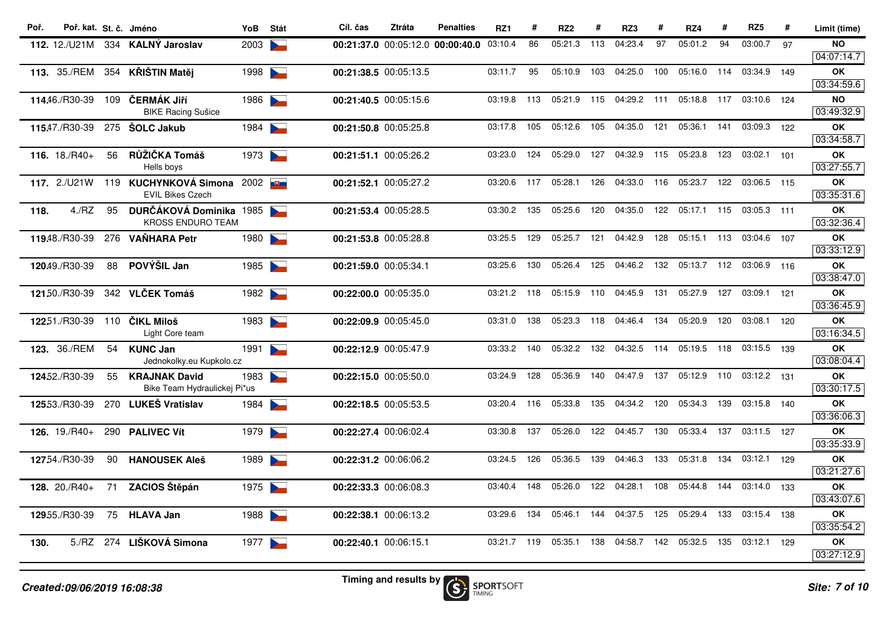| Poř. | Poř. kat. St. č. Jméno |     |                                                      | YoB            | Stát                              | Cíl. čas              | <b>Ztráta</b>                    | <b>Penalties</b> | RZ1     | #   | RZ <sub>2</sub> | #   | RZ3     | #   | RZ4     | #   | RZ <sub>5</sub> | #   | Limit (time)            |
|------|------------------------|-----|------------------------------------------------------|----------------|-----------------------------------|-----------------------|----------------------------------|------------------|---------|-----|-----------------|-----|---------|-----|---------|-----|-----------------|-----|-------------------------|
|      |                        |     | 112. 12./U21M 334 KALNÝ Jaroslav                     | 2003           |                                   |                       | 00:21:37.0 00:05:12.0 00:00:40.0 |                  | 03:10.4 | 86  | 05:21.3         | 113 | 04:23.4 | 97  | 05:01.2 | 94  | 03:00.7         | 97  | <b>NO</b>               |
|      |                        |     |                                                      |                |                                   |                       |                                  |                  |         |     |                 |     |         |     |         |     |                 |     | 04:07:14.7              |
|      |                        |     | 113. 35./REM 354 KŘIŠTIN Matěj                       | 1998           | <b>Contract Contract Contract</b> | 00:21:38.5 00:05:13.5 |                                  |                  | 03:11.7 | 95  | 05:10.9         | 103 | 04:25.0 | 100 | 05:16.0 | 114 | 03:34.9         | 149 | ΟK<br>03:34:59.6        |
|      | 114.46./R30-39         | 109 | ČERMÁK Jiří                                          | 1986           |                                   | 00:21:40.5 00:05:15.6 |                                  |                  | 03:19.8 | 113 | 05:21.9         | 115 | 04:29.2 | 111 | 05:18.8 | 117 | 03:10.6         | 124 | <b>NO</b>               |
|      |                        |     | <b>BIKE Racing Sušice</b>                            |                |                                   |                       |                                  |                  |         |     |                 |     |         |     |         |     |                 |     | 03:49:32.9              |
|      | 115.47./R30-39         |     | 275 SOLC Jakub                                       | 1984           | $\overline{\phantom{0}}$          | 00:21:50.8 00:05:25.8 |                                  |                  | 03:17.8 | 105 | 05:12.6         | 105 | 04:35.0 | 121 | 05:36.1 | 141 | 03:09.3         | 122 | <b>OK</b><br>03:34:58.7 |
|      | 116. $18./R40+$        | 56  | RŮŽIČKA Tomáš                                        | 1973           |                                   | 00:21:51.1 00:05:26.2 |                                  |                  | 03:23.0 | 124 | 05:29.0         | 127 | 04:32.9 | 115 | 05:23.8 | 123 | 03:02.1 101     |     | OK                      |
|      |                        |     | Hells boys                                           |                | <b>Contract Contract Contract</b> |                       |                                  |                  |         |     |                 |     |         |     |         |     |                 |     | 03:27:55.7              |
|      | <b>117.</b> 2./U21W    |     | 119 KUCHYNKOVÁ Simona<br><b>EVIL Bikes Czech</b>     | 2002 <b>EU</b> |                                   | 00:21:52.1 00:05:27.2 |                                  |                  | 03:20.6 | 117 | 05:28.1         | 126 | 04:33.0 | 116 | 05:23.7 | 122 | 03:06.5 115     |     | <b>OK</b><br>03:35:31.6 |
|      | 4./RZ                  | 95  | DURČÁKOVÁ Dominika 1985                              |                |                                   | 00:21:53.4 00:05:28.5 |                                  |                  | 03:30.2 | 135 | 05:25.6         | 120 | 04:35.0 | 122 | 05:17.1 | 115 | 03:05.3 111     |     | <b>OK</b>               |
| 118. |                        |     | <b>KROSS ENDURO TEAM</b>                             |                |                                   |                       |                                  |                  |         |     |                 |     |         |     |         |     |                 |     | 03:32:36.4              |
|      | 119.48./R30-39         |     | 276 VAŇHARA Petr                                     | 1980           | $\overline{\phantom{0}}$          | 00:21:53.8 00:05:28.8 |                                  |                  | 03:25.5 | 129 | 05:25.7         | 121 | 04:42.9 | 128 | 05:15.1 | 113 | 03:04.6         | 107 | OK                      |
|      |                        |     |                                                      |                |                                   |                       |                                  |                  |         |     |                 |     |         |     |         |     |                 |     | 03:33:12.9              |
|      | 120.49./R30-39         | 88  | POVÝŠIL Jan                                          | 1985           |                                   | 00:21:59.0 00:05:34.1 |                                  |                  | 03:25.6 | 130 | 05:26.4         | 125 | 04:46.2 | 132 | 05:13.7 | 112 | 03:06.9 116     |     | OK<br>03:38:47.0        |
|      | 12150./R30-39          |     | 342 VLČEK Tomáš                                      | 1982           |                                   | 00:22:00.0 00:05:35.0 |                                  |                  | 03:21.2 | 118 | 05:15.9         | 110 | 04:45.9 | 131 | 05:27.9 | 127 | 03:09.1 121     |     | OK                      |
|      |                        |     |                                                      |                |                                   |                       |                                  |                  |         |     |                 |     |         |     |         |     |                 |     | 03:36:45.9              |
|      | 12251./R30-39          |     | 110 ČIKL Miloš                                       | 1983           | <b>Comment</b>                    | 00:22:09.9 00:05:45.0 |                                  |                  | 03:31.0 | 138 | 05:23.3         | 118 | 04:46.4 | 134 | 05:20.9 | 120 | 03:08.1 120     |     | ΟK                      |
|      |                        |     | Light Core team                                      |                |                                   |                       |                                  |                  |         |     |                 |     |         |     |         |     |                 |     | 03:16:34.5              |
|      | <b>123.</b> 36./REM    | 54  | <b>KUNC Jan</b>                                      | 1991           | <b>Barnett Street</b>             | 00:22:12.9 00:05:47.9 |                                  |                  | 03:33.2 | 140 | 05:32.2         | 132 | 04:32.5 | 114 | 05:19.5 | 118 | 03:15.5 139     |     | ΟK                      |
|      |                        |     | Jednokolky.eu Kupkolo.cz                             |                |                                   |                       |                                  |                  |         |     |                 |     |         |     |         |     |                 |     | 03:08:04.4              |
|      | 12452./R30-39          | 55  | <b>KRAJNAK David</b><br>Bike Team Hydraulickej Pi*us | 1983           | <b>Participation</b>              | 00:22:15.0 00:05:50.0 |                                  |                  | 03:24.9 | 128 | 05:36.9         | 140 | 04:47.9 | 137 | 05:12.9 | 110 | 03:12.2 131     |     | OK<br>03:30:17.5        |
|      | 12553./R30-39          |     | 270 LUKEŠ Vratislav                                  | 1984           |                                   | 00:22:18.5 00:05:53.5 |                                  |                  | 03:20.4 | 116 | 05:33.8         | 135 | 04:34.2 | 120 | 05:34.3 | 139 | 03:15.8 140     |     | OK                      |
|      |                        |     |                                                      |                |                                   |                       |                                  |                  |         |     |                 |     |         |     |         |     |                 |     | 03:36:06.3              |
|      | 126. $19./R40+$        |     | 290 PALIVEC Vít                                      | 1979           |                                   | 00:22:27.4 00:06:02.4 |                                  |                  | 03:30.8 | 137 | 05:26.0         | 122 | 04:45.7 | 130 | 05:33.4 | 137 | 03:11.5         | 127 | OK                      |
|      |                        |     |                                                      |                |                                   |                       |                                  |                  |         |     |                 |     |         |     |         |     |                 |     | 03:35:33.9              |
|      | 12754./R30-39          | 90  | <b>HANOUSEK Aleš</b>                                 | 1989           |                                   | 00:22:31.2 00:06:06.2 |                                  |                  | 03:24.5 | 126 | 05:36.5         | 139 | 04:46.3 | 133 | 05:31.8 | 134 | 03:12.1 129     |     | <b>OK</b><br>03:21:27.6 |
|      | 128. $20./R40+$        | 71  | ZACIOS Štěpán                                        | 1975           |                                   | 00:22:33.3 00:06:08.3 |                                  |                  | 03:40.4 | 148 | 05:26.0         | 122 | 04:28.1 | 108 | 05:44.8 | 144 | 03:14.0         | 133 | OK                      |
|      |                        |     |                                                      |                |                                   |                       |                                  |                  |         |     |                 |     |         |     |         |     |                 |     | 03:43:07.6              |
|      | 12955./R30-39          | 75  | <b>HLAVA Jan</b>                                     | 1988           | <b>Participation</b>              | 00:22:38.1 00:06:13.2 |                                  |                  | 03:29.6 | 134 | 05:46.1         | 144 | 04:37.5 | 125 | 05:29.4 | 133 | 03:15.4 138     |     | <b>OK</b>               |
|      |                        |     |                                                      |                |                                   |                       |                                  |                  |         |     |                 |     |         |     |         |     |                 |     | 03:35:54.2              |
| 130. | 5./RZ                  | 274 | LIŠKOVÁ Simona                                       | 1977           | <b>Contract Contract</b>          | 00:22:40.1 00:06:15.1 |                                  |                  | 03:21.7 | 119 | 05:35.1         | 138 | 04:58.7 | 142 | 05:32.5 | 135 | 03:12.1 129     |     | ОΚ<br>03:27:12.9        |
|      |                        |     |                                                      |                |                                   |                       |                                  |                  |         |     |                 |     |         |     |         |     |                 |     |                         |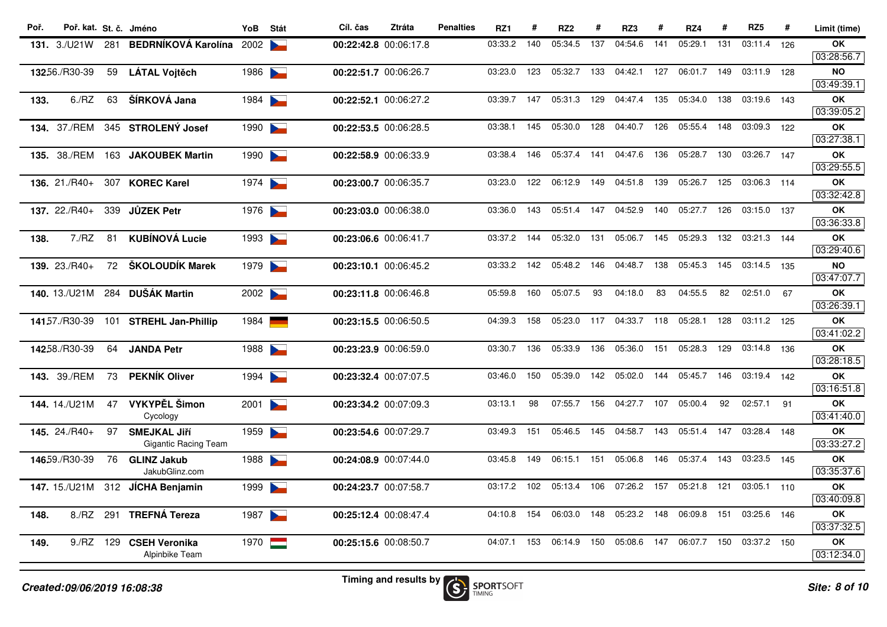| Poř. | Poř. kat. St. č. Jméno |     |                                  | YoB  | Stát                              | Cíl. čas              | <b>Ztráta</b> | <b>Penalties</b> | RZ1     | #   | RZ <sub>2</sub> | #   | RZ3     | #   | RZ4     | #   | RZ <sub>5</sub> | #     | Limit (time)            |
|------|------------------------|-----|----------------------------------|------|-----------------------------------|-----------------------|---------------|------------------|---------|-----|-----------------|-----|---------|-----|---------|-----|-----------------|-------|-------------------------|
|      | <b>131.</b> $3./U21W$  | 281 | <b>BEDRNÍKOVÁ Karolína</b>       | 2002 |                                   | 00:22:42.8 00:06:17.8 |               |                  | 03:33.2 | 140 | 05:34.5         | 137 | 04:54.6 | 141 | 05:29.1 | 131 | 03:11.4         | 126   | ΟK                      |
|      |                        |     |                                  |      |                                   |                       |               |                  |         |     |                 |     |         |     |         |     |                 |       | 03:28:56.7              |
|      | 13256./R30-39          | 59  | <b>LÁTAL Vojtěch</b>             | 1986 | <b>Contract Contract Contract</b> | 00:22:51.7 00:06:26.7 |               |                  | 03:23.0 | 123 | 05:32.7         | 133 | 04:42.1 | 127 | 06:01.7 | 149 | 03:11.9         | 128   | <b>NO</b><br>03:49:39.1 |
| 133. | 6./RZ                  | 63  | ŠÍRKOVÁ Jana                     | 1984 | <b>Contract Contract Contract</b> | 00:22:52.1 00:06:27.2 |               |                  | 03:39.7 | 147 | 05:31.3         | 129 | 04:47.4 | 135 | 05:34.0 | 138 | 03:19.6         | - 143 | OK                      |
|      |                        |     |                                  |      |                                   |                       |               |                  |         |     |                 |     |         |     |         |     |                 |       | 03:39:05.2              |
|      | <b>134.</b> 37./REM    |     | 345 STROLENÝ Josef               | 1990 | $\sim$                            | 00:22:53.5 00:06:28.5 |               |                  | 03:38.1 | 145 | 05:30.0         | 128 | 04:40.7 | 126 | 05:55.4 | 148 | 03:09.3         | 122   | OK                      |
|      |                        |     |                                  |      |                                   |                       |               |                  |         |     |                 |     |         |     |         |     |                 |       | 03:27:38.1              |
| 135. | 38./REM                |     | 163 JAKOUBEK Martin              | 1990 | <b>Contract Contract</b>          | 00:22:58.9 00:06:33.9 |               |                  | 03:38.4 | 146 | 05:37.4         | 141 | 04:47.6 | 136 | 05:28.7 | 130 | 03:26.7 147     |       | OK<br>03:29:55.5        |
|      | 136. 21./R40+          | 307 | <b>KOREC Karel</b>               | 1974 | <b>Contract Contract</b>          | 00:23:00.7 00:06:35.7 |               |                  | 03:23.0 | 122 | 06:12.9         | 149 | 04:51.8 | 139 | 05:26.7 | 125 | 03:06.3         | 114   | OK                      |
|      |                        |     |                                  |      |                                   |                       |               |                  |         |     |                 |     |         |     |         |     |                 |       | 03:32:42.8              |
|      | 137. $22./R40+$        | 339 | <b>JŮZEK Petr</b>                | 1976 |                                   | 00:23:03.0 00:06:38.0 |               |                  | 03:36.0 | 143 | 05:51.4         | 147 | 04:52.9 | 140 | 05:27.7 | 126 | 03:15.0         | 137   | OK                      |
|      |                        |     |                                  |      |                                   |                       |               |                  |         |     |                 |     |         |     |         |     |                 |       | 03:36:33.8              |
| 138. | 7. / RZ                | 81  | <b>KUBÍNOVÁ Lucie</b>            | 1993 |                                   | 00:23:06.6 00:06:41.7 |               |                  | 03:37.2 | 144 | 05:32.0         | 131 | 05:06.7 | 145 | 05:29.3 | 132 | 03:21.3 144     |       | <b>OK</b><br>03:29:40.6 |
|      | 139. $23./R40+$        | 72  | ŠKOLOUDÍK Marek                  | 1979 | <b>Contract Contract Contract</b> | 00:23:10.1 00:06:45.2 |               |                  | 03:33.2 | 142 | 05:48.2         | 146 | 04:48.7 | 138 | 05:45.3 | 145 | 03:14.5 135     |       | <b>NO</b>               |
|      |                        |     |                                  |      |                                   |                       |               |                  |         |     |                 |     |         |     |         |     |                 |       | 03:47:07.7              |
|      | 140. 13./U21M          |     | 284 DUŠÁK Martin                 | 2002 |                                   | 00:23:11.8 00:06:46.8 |               |                  | 05:59.8 | 160 | 05:07.5         | 93  | 04:18.0 | 83  | 04:55.5 | 82  | 02:51.0         | 67    | OK                      |
|      |                        |     |                                  |      |                                   |                       |               |                  |         |     |                 |     |         |     |         |     |                 |       | 03:26:39.1              |
|      | 14157./R30-39          |     | 101 STREHL Jan-Phillip           | 1984 |                                   | 00:23:15.5 00:06:50.5 |               |                  | 04:39.3 | 158 | 05:23.0         | 117 | 04:33.7 | 118 | 05:28.1 | 128 | 03:11.2 125     |       | OK<br>03:41:02.2        |
|      | 14258./R30-39          | 64  | <b>JANDA Petr</b>                | 1988 | <b>Contract Contract</b>          | 00:23:23.9 00:06:59.0 |               |                  | 03:30.7 | 136 | 05:33.9         | 136 | 05:36.0 | 151 | 05:28.3 | 129 | 03:14.8         | 136   | OK                      |
|      |                        |     |                                  |      |                                   |                       |               |                  |         |     |                 |     |         |     |         |     |                 |       | 03:28:18.5              |
| 143. | 39./REM                | 73  | <b>PEKNÍK Oliver</b>             | 1994 | <b>Contract Contract Contract</b> | 00:23:32.4 00:07:07.5 |               |                  | 03:46.0 | 150 | 05:39.0         | 142 | 05:02.0 | 144 | 05:45.7 | 146 | 03:19.4 142     |       | OK                      |
|      |                        |     |                                  |      |                                   |                       |               |                  |         |     |                 |     |         |     |         |     |                 |       | 03:16:51.8              |
|      | 144. 14./U21M          | 47  | VYKYPĚL Šimon                    | 2001 | <b>Contract Contract</b>          | 00:23:34.2 00:07:09.3 |               |                  | 03:13.1 | 98  | 07:55.7         | 156 | 04:27.7 | 107 | 05:00.4 | 92  | 02:57.1         | 91    | OK<br>03:41:40.0        |
|      | 145. 24./R40+          | 97  | Cycology<br><b>SMEJKAL Jiří</b>  | 1959 |                                   | 00:23:54.6 00:07:29.7 |               |                  | 03:49.3 | 151 | 05:46.5         | 145 | 04:58.7 | 143 | 05:51.4 | 147 | 03:28.4         | 148   | <b>OK</b>               |
|      |                        |     | Gigantic Racing Team             |      | <b>Contract Contract Contract</b> |                       |               |                  |         |     |                 |     |         |     |         |     |                 |       | 03:33:27.2              |
|      | 14659./R30-39          | 76  | <b>GLINZ Jakub</b>               | 1988 |                                   | 00:24:08.9 00:07:44.0 |               |                  | 03:45.8 | 149 | 06:15.1         | 151 | 05:06.8 | 146 | 05:37.4 | 143 | 03:23.5         | 145   | <b>OK</b>               |
|      |                        |     | JakubGlinz.com                   |      |                                   |                       |               |                  |         |     |                 |     |         |     |         |     |                 |       | 03:35:37.6              |
|      |                        |     | 147. 15./U21M 312 JÍCHA Benjamin | 1999 |                                   | 00:24:23.7 00:07:58.7 |               |                  | 03:17.2 | 102 | 05:13.4         | 106 | 07:26.2 | 157 | 05:21.8 | 121 | 03:05.1 110     |       | <b>OK</b>               |
|      |                        |     |                                  |      |                                   |                       |               |                  | 04:10.8 | 154 | 06:03.0         | 148 | 05:23.2 | 148 | 06:09.8 | 151 |                 |       | 03:40:09.8              |
| 148. | 8./RZ                  |     | 291 TREFNÁ Tereza                | 1987 | <b>Contract Contract Contract</b> | 00:25:12.4 00:08:47.4 |               |                  |         |     |                 |     |         |     |         |     | 03:25.6 146     |       | OK<br>03:37:32.5        |
| 149. |                        |     | 9./RZ 129 CSEH Veronika          | 1970 | <u>e a</u>                        | 00:25:15.6 00:08:50.7 |               |                  | 04:07.1 | 153 | 06:14.9         | 150 | 05:08.6 | 147 | 06:07.7 | 150 | 03:37.2 150     |       | ОK                      |
|      |                        |     | Alpinbike Team                   |      |                                   |                       |               |                  |         |     |                 |     |         |     |         |     |                 |       | 03:12:34.0              |
|      |                        |     |                                  |      |                                   |                       |               |                  |         |     |                 |     |         |     |         |     |                 |       |                         |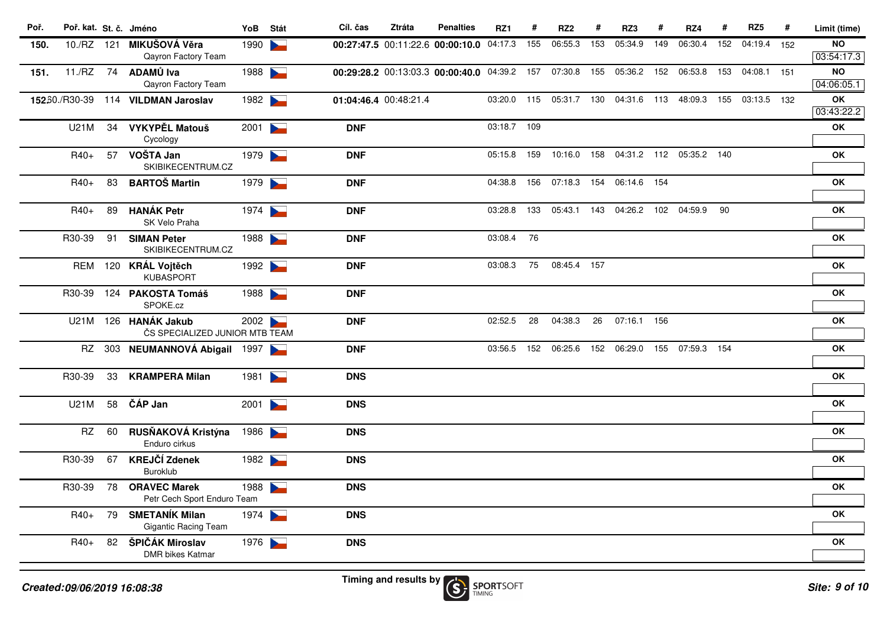| Poř. |           |    | Poř. kat. St. č. Jméno                                    | YoB Stát |        | Cíl. čas              | <b>Ztráta</b> | <b>Penalties</b>                                     | RZ1         | #   | RZ <sub>2</sub> | #   | RZ3                                      | #   | RZ4             | #   | RZ <sub>5</sub> | #   | Limit (time)            |
|------|-----------|----|-----------------------------------------------------------|----------|--------|-----------------------|---------------|------------------------------------------------------|-------------|-----|-----------------|-----|------------------------------------------|-----|-----------------|-----|-----------------|-----|-------------------------|
| 150. |           |    | 10./RZ 121 MIKUŠOVÁ Věra<br>Qayron Factory Team           | 1990     | $\sim$ |                       |               | 00:27:47.5 00:11:22.6 00:00:10.0 04:17.3             |             | 155 | 06:55.3         | 153 | 05:34.9                                  | 149 | 06:30.4         | 152 | 04:19.4         | 152 | NO<br>03:54:17.3        |
| 151. |           |    | 11./RZ 74 ADAMŮ lva                                       | 1988     |        |                       |               | 00:29:28.2 00:13:03.3 00:00:40.0 04:39.2 157 07:30.8 |             |     |                 | 155 | 05:36.2                                  | 152 | 06:53.8         | 153 | 04:08.1 151     |     | <b>NO</b><br>04:06:05.1 |
|      |           |    | Qayron Factory Team<br>15250./R30-39 114 VILDMAN Jaroslav | 1982     |        | 01:04:46.4 00:48:21.4 |               |                                                      |             |     |                 |     | 03:20.0 115 05:31.7 130 04:31.6 113      |     | 48:09.3 155     |     | 03:13.5 132     |     | OK                      |
|      |           |    |                                                           |          |        |                       |               |                                                      |             |     |                 |     |                                          |     |                 |     |                 |     | 03:43:22.2              |
|      | U21M      |    | 34 VYKYPĚL Matouš<br>Cycology                             | 2001     |        | <b>DNF</b>            |               |                                                      | 03:18.7 109 |     |                 |     |                                          |     |                 |     |                 |     | OK                      |
|      | R40+      | 57 | VOŠTA Jan<br>SKIBIKECENTRUM.CZ                            | 1979     |        | <b>DNF</b>            |               |                                                      | 05:15.8     | 159 |                 |     | 10:16.0  158  04:31.2  112  05:35.2  140 |     |                 |     |                 |     | OK                      |
|      | $R40+$    | 83 | <b>BARTOŠ Martin</b>                                      | 1979     |        | <b>DNF</b>            |               |                                                      | 04:38.8     | 156 | 07:18.3 154     |     | 06:14.6 154                              |     |                 |     |                 |     | ОK                      |
|      | R40+      | 89 | <b>HANÁK Petr</b><br>SK Velo Praha                        | 1974     |        | <b>DNF</b>            |               |                                                      | 03:28.8     | 133 |                 |     | 05:43.1 143 04:26.2 102 04:59.9          |     |                 | 90  |                 |     | OK                      |
|      | R30-39    | 91 | <b>SIMAN Peter</b><br>SKIBIKECENTRUM.CZ                   | 1988     |        | <b>DNF</b>            |               |                                                      | 03:08.4     | 76  |                 |     |                                          |     |                 |     |                 |     | OK                      |
|      |           |    | REM 120 KRÁL Vojtěch<br><b>KUBASPORT</b>                  | 1992     |        | <b>DNF</b>            |               |                                                      | 03:08.3     | 75  | 08:45.4 157     |     |                                          |     |                 |     |                 |     | OK                      |
|      | R30-39    |    | 124 PAKOSTA Tomáš<br>SPOKE.cz                             | 1988     |        | <b>DNF</b>            |               |                                                      |             |     |                 |     |                                          |     |                 |     |                 |     | OK                      |
|      | U21M      |    | 126 HANÁK Jakub<br>ČS SPECIALIZED JUNIOR MTB TEAM         | 2002     |        | <b>DNF</b>            |               |                                                      | 02:52.5     | 28  | 04:38.3         | 26  | 07:16.1                                  | 156 |                 |     |                 |     | OK                      |
|      |           |    | RZ 303 NEUMANNOVÁ Abigail 1997                            |          |        | <b>DNF</b>            |               |                                                      | 03:56.5 152 |     |                 |     | 06:25.6 152 06:29.0                      |     | 155 07:59.3 154 |     |                 |     | <b>OK</b>               |
|      | R30-39    | 33 | <b>KRAMPERA Milan</b>                                     | 1981     |        | <b>DNS</b>            |               |                                                      |             |     |                 |     |                                          |     |                 |     |                 |     | OK                      |
|      | U21M      |    | 58 ČÁP Jan                                                | 2001     |        | <b>DNS</b>            |               |                                                      |             |     |                 |     |                                          |     |                 |     |                 |     | <b>OK</b>               |
|      | <b>RZ</b> | 60 | RUSŇAKOVÁ Kristýna<br>Enduro cirkus                       | 1986     |        | <b>DNS</b>            |               |                                                      |             |     |                 |     |                                          |     |                 |     |                 |     | OK                      |
|      | R30-39    | 67 | <b>KREJČÍ Zdenek</b><br><b>Buroklub</b>                   | 1982     |        | <b>DNS</b>            |               |                                                      |             |     |                 |     |                                          |     |                 |     |                 |     | OK                      |
|      | R30-39    | 78 | <b>ORAVEC Marek</b><br>Petr Cech Sport Enduro Team        | 1988     |        | <b>DNS</b>            |               |                                                      |             |     |                 |     |                                          |     |                 |     |                 |     | OK                      |
|      | R40+      | 79 | <b>SMETANÍK Milan</b><br>Gigantic Racing Team             | 1974     |        | <b>DNS</b>            |               |                                                      |             |     |                 |     |                                          |     |                 |     |                 |     | <b>OK</b>               |
|      | $R40+$    | 82 | ŠPIČÁK Miroslav<br><b>DMR bikes Katmar</b>                | 1976     |        | <b>DNS</b>            |               |                                                      |             |     |                 |     |                                          |     |                 |     |                 |     | OK                      |